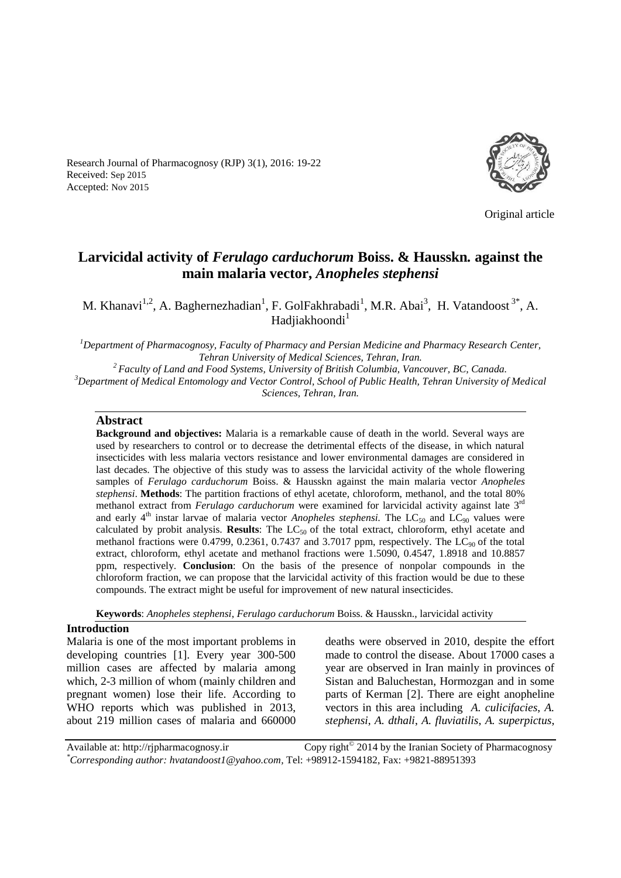Research Journal of Pharmacognosy (RJP) 3(1), 2016: 19-22 Received: Sep 2015 Accepted: Nov 2015



Original article

# **Larvicidal activity of** *Ferulago carduchorum* **Boiss. & Hausskn***.* **against the main malaria vector,** *Anopheles stephensi*

M. Khanavi<sup>1,2</sup>, A. Baghernezhadian<sup>1</sup>, F. GolFakhrabadi<sup>1</sup>, M.R. Abai<sup>3</sup>, H. Vatandoost<sup>3\*</sup>, A. Hadjiakhoondi<sup>1</sup>

*<sup>1</sup>Department of Pharmacognosy, Faculty of Pharmacy and Persian Medicine and Pharmacy Research Center, Tehran University of Medical Sciences, Tehran, Iran.*

*<sup>2</sup>Faculty of Land and Food Systems, University of British Columbia, Vancouver, BC, Canada. <sup>3</sup>Department of Medical Entomology and Vector Control, School of Public Health, Tehran University of Medical Sciences, Tehran, Iran.*

### **Abstract**

**Background and objectives:** Malaria is a remarkable cause of death in the world. Several ways are used by researchers to control or to decrease the detrimental effects of the disease, in which natural insecticides with less malaria vectors resistance and lower environmental damages are considered in last decades. The objective of this study was to assess the larvicidal activity of the whole flowering samples of *Ferulago carduchorum* Boiss. & Hausskn against the main malaria vector *Anopheles stephensi*. **Methods**: The partition fractions of ethyl acetate, chloroform, methanol, and the total 80% methanol extract from *Ferulago carduchorum* were examined for larvicidal activity against late 3<sup>rd</sup> and early  $4<sup>th</sup>$  instar larvae of malaria vector *Anopheles stephensi*. The LC<sub>50</sub> and LC<sub>90</sub> values were calculated by probit analysis. **Results**: The LC<sub>50</sub> of the total extract, chloroform, ethyl acetate and methanol fractions were  $0.4799$ ,  $0.2361$ ,  $0.7437$  and  $3.7017$  ppm, respectively. The LC<sub>90</sub> of the total extract, chloroform, ethyl acetate and methanol fractions were 1.5090, 0.4547, 1.8918 and 10.8857 ppm, respectively. **Conclusion**: On the basis of the presence of nonpolar compounds in the chloroform fraction, we can propose that the larvicidal activity of this fraction would be due to these compounds. The extract might be useful for improvement of new natural insecticides.

**Keywords**: *Anopheles stephensi*, *Ferulago carduchorum* Boiss. & Hausskn., larvicidal activity

### **Introduction**

Malaria is one of the most important problems in developing countries [1]. Every year 300-500 million cases are affected by malaria among which, 2-3 million of whom (mainly children and pregnant women) lose their life. According to WHO reports which was published in 2013, about 219 million cases of malaria and 660000 deaths were observed in 2010, despite the effort made to control the disease. About 17000 cases a year are observed in Iran mainly in provinces of Sistan and Baluchestan, Hormozgan and in some parts of Kerman [2]. There are eight anopheline vectors in this area including *A. culicifacies*, *A. stephensi*, *A. dthali*, *A. fluviatilis*, *A. superpictus*,

Available at: http://rjpharmacognosy.ir 2014 by the Iranian Society of Pharmacognosy *\*Corresponding author: hvatandoost1@yahoo.com,* Tel: +98912-1594182, Fax: +9821-88951393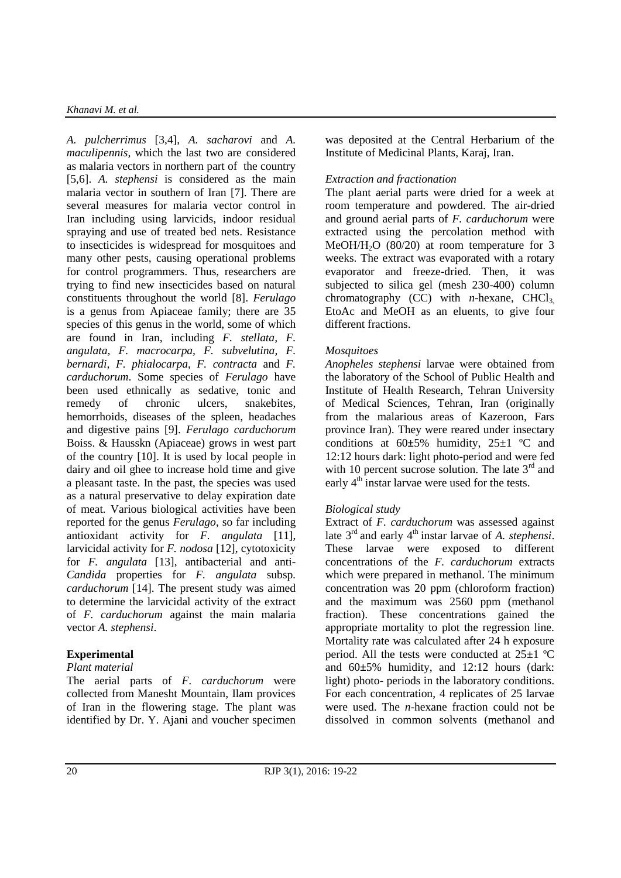### *Khanavi M. et al.*

*A. pulcherrimus* [3,4], *A. sacharovi* and *A. maculipennis*, which the last two are considered as malaria vectors in northern part of the country [5,6]. *A. stephensi* is considered as the main malaria vector in southern of Iran [7]. There are several measures for malaria vector control in Iran including using larvicids, indoor residual spraying and use of treated bed nets. Resistance to insecticides is widespread for mosquitoes and many other pests, causing operational problems for control programmers. Thus, researchers are trying to find new insecticides based on natural constituents throughout the world [8]. *Ferulago* is a genus from Apiaceae family; there are 35 species of this genus in the world, some of which are found in Iran, including *F. stellata, F. angulata, F. macrocarpa, F. subvelutina, F. bernardi, F. phialocarpa*, *F. contracta* and *F. carduchorum*. Some species of *Ferulago* have been used ethnically as sedative, tonic and remedy of chronic ulcers, snakebites, hemorrhoids, diseases of the spleen, headaches and digestive pains [9]. *Ferulago carduchorum*  Boiss. & Hausskn (Apiaceae) grows in west part of the country [10]. It is used by local people in dairy and oil ghee to increase hold time and give a pleasant taste. In the past, the species was used as a natural preservative to delay expiration date of meat*.* Various biological activities have been reported for the genus *Ferulago*, so far including antioxidant activity for *F. angulata* [11], larvicidal activity for *F. nodosa* [12], cytotoxicity for *F. angulata* [13], antibacterial and anti-*Candida* properties for *F. angulata* subsp*. carduchorum* [14]. The present study was aimed to determine the larvicidal activity of the extract of *F. carduchorum* against the main malaria vector *A. stephensi*.

# **Experimental**

### *Plant material*

The aerial parts of *F. carduchorum* were collected from Manesht Mountain, Ilam provices of Iran in the flowering stage. The plant was identified by Dr. Y. Ajani and voucher specimen was deposited at the Central Herbarium of the Institute of Medicinal Plants, Karaj, Iran.

# *Extraction and fractionation*

The plant aerial parts were dried for a week at room temperature and powdered. The air-dried and ground aerial parts of *F. carduchorum* were extracted using the percolation method with MeOH/H<sub>2</sub>O (80/20) at room temperature for 3 weeks. The extract was evaporated with a rotary evaporator and freeze-dried. Then, it was subjected to silica gel (mesh 230-400) column chromatography  $(CC)$  with *n*-hexane,  $CHCl<sub>3</sub>$ , EtoAc and MeOH as an eluents, to give four different fractions.

# *Mosquitoes*

*Anopheles stephensi* larvae were obtained from the laboratory of the School of Public Health and Institute of Health Research, Tehran University of Medical Sciences, Tehran, Iran (originally from the malarious areas of Kazeroon, Fars province Iran). They were reared under insectary conditions at 60**±**5% humidity, 25±1 ºC and 12:12 hours dark: light photo-period and were fed with 10 percent sucrose solution. The late  $3<sup>rd</sup>$  and early  $4<sup>th</sup>$  instar larvae were used for the tests.

# *Biological study*

Extract of *F. carduchorum* was assessed against late 3<sup>rd</sup> and early 4<sup>th</sup> instar larvae of *A. stephensi*. These larvae were exposed to different concentrations of the *F. carduchorum* extracts which were prepared in methanol. The minimum concentration was 20 ppm (chloroform fraction) and the maximum was 2560 ppm (methanol fraction). These concentrations gained the appropriate mortality to plot the regression line. Mortality rate was calculated after 24 h exposure period. All the tests were conducted at 25**±**1 ºC and 60**±**5% humidity, and 12:12 hours (dark: light) photo- periods in the laboratory conditions. For each concentration, 4 replicates of 25 larvae were used. The *n*-hexane fraction could not be dissolved in common solvents (methanol and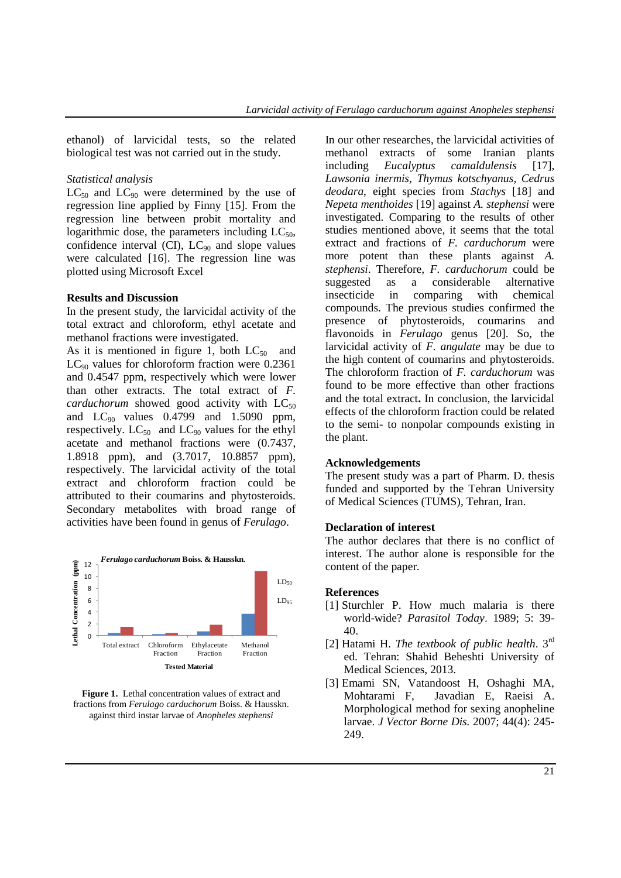ethanol) of larvicidal tests, so the related biological test was not carried out in the study.

### *Statistical analysis*

 $LC_{50}$  and  $LC_{90}$  were determined by the use of regression line applied by Finny [15]. From the regression line between probit mortality and logarithmic dose, the parameters including  $LC_{50}$ , confidence interval (CI),  $LC_{90}$  and slope values were calculated [16]. The regression line was plotted using Microsoft Excel

#### **Results and Discussion**

In the present study, the larvicidal activity of the total extract and chloroform, ethyl acetate and methanol fractions were investigated.

As it is mentioned in figure 1, both  $LC_{50}$  and  $LC_{90}$  values for chloroform fraction were 0.2361 and 0.4547 ppm, respectively which were lower than other extracts. The total extract of *F. carduchorum* showed good activity with  $LC_{50}$ and  $LC_{90}$  values 0.4799 and 1.5090 ppm, respectively.  $LC_{50}$  and  $LC_{90}$  values for the ethyl acetate and methanol fractions were (0.7437, 1.8918 ppm), and (3.7017, 10.8857 ppm), respectively. The larvicidal activity of the total extract and chloroform fraction could be attributed to their coumarins and phytosteroids. Secondary metabolites with broad range of activities have been found in genus of *Ferulago*.



**Figure 1.** Lethal concentration values of extract and fractions from *Ferulago carduchorum* Boiss. & Hausskn. against third instar larvae of *Anopheles stephensi*

In our other researches, the larvicidal activities of methanol extracts of some Iranian plants including *Eucalyptus camaldulensis* [17], *Lawsonia inermis*, *Thymus kotschyanus*, *Cedrus deodara*, eight species from *Stachys* [18] and *Nepeta menthoides* [19] against *A. stephensi* were investigated. Comparing to the results of other studies mentioned above, it seems that the total extract and fractions of *F. carduchorum* were more potent than these plants against *A. stephensi*. Therefore, *F. carduchorum* could be suggested as a considerable alternative insecticide in comparing with chemical compounds. The previous studies confirmed the presence of phytosteroids, coumarins and flavonoids in *Ferulago* genus [20]. So, the larvicidal activity of *F. angulate* may be due to the high content of coumarins and phytosteroids. The chloroform fraction of *F. carduchorum* was found to be more effective than other fractions and the total extract**.** In conclusion, the larvicidal effects of the chloroform fraction could be related to the semi- to nonpolar compounds existing in the plant.

### **Acknowledgements**

The present study was a part of Pharm. D. thesis funded and supported by the Tehran University of Medical Sciences (TUMS), Tehran, Iran.

#### **Declaration of interest**

The author declares that there is no conflict of interest. The author alone is responsible for the content of the paper.

### **References**

- [1] Sturchler P. How much malaria is there world-wide? *Parasitol Today*. 1989; 5: 39- 40.
- [2] Hatami H. *The textbook of public health*. 3rd ed. Tehran: Shahid Beheshti University of Medical Sciences, 2013.
- [3] Emami SN, Vatandoost H, Oshaghi MA, [Mohtarami F](http://www.ncbi.nlm.nih.gov/pubmed/?term=Mohtarami%20F%5BAuthor%5D&cauthor=true&cauthor_uid=18092530)[, Javadian E,](http://www.ncbi.nlm.nih.gov/pubmed/?term=Javadian%20E%5BAuthor%5D&cauthor=true&cauthor_uid=18092530) [Raeisi A.](http://www.ncbi.nlm.nih.gov/pubmed/?term=Raeisi%20A%5BAuthor%5D&cauthor=true&cauthor_uid=18092530) Morphological method for sexing anopheline larvae. *J Vector Borne Dis.* 2007; 44(4): 245- 249.